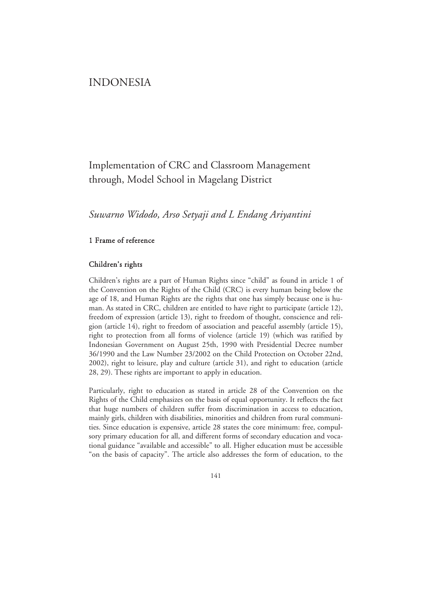# INDONESIA

# Implementation of CRC and Classroom Management through, Model School in Magelang District

*Suwarno Widodo, Arso Setyaji and L Endang Ariyantini* 

### 1 Frame of reference

### Children's rights

Children's rights are a part of Human Rights since "child" as found in article 1 of the Convention on the Rights of the Child (CRC) is every human being below the age of 18, and Human Rights are the rights that one has simply because one is human. As stated in CRC, children are entitled to have right to participate (article 12), freedom of expression (article 13), right to freedom of thought, conscience and religion (article 14), right to freedom of association and peaceful assembly (article 15), right to protection from all forms of violence (article 19) (which was ratified by Indonesian Government on August 25th, 1990 with Presidential Decree number 36/1990 and the Law Number 23/2002 on the Child Protection on October 22nd, 2002), right to leisure, play and culture (article 31), and right to education (article 28, 29). These rights are important to apply in education.

Particularly, right to education as stated in article 28 of the Convention on the Rights of the Child emphasizes on the basis of equal opportunity. It reflects the fact that huge numbers of children suffer from discrimination in access to education, mainly girls, children with disabilities, minorities and children from rural communities. Since education is expensive, article 28 states the core minimum: free, compulsory primary education for all, and different forms of secondary education and vocational guidance "available and accessible" to all. Higher education must be accessible "on the basis of capacity". The article also addresses the form of education, to the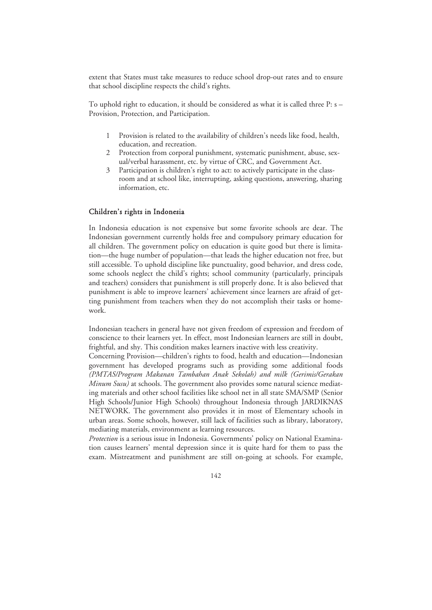extent that States must take measures to reduce school drop-out rates and to ensure that school discipline respects the child's rights.

To uphold right to education, it should be considered as what it is called three P: s – Provision, Protection, and Participation.

- 1 Provision is related to the availability of children's needs like food, health, education, and recreation.
- 2 Protection from corporal punishment, systematic punishment, abuse, sexual/verbal harassment, etc. by virtue of CRC, and Government Act.
- Participation is children's right to act: to actively participate in the classroom and at school like, interrupting, asking questions, answering, sharing information, etc.

### Children's rights in Indonesia

In Indonesia education is not expensive but some favorite schools are dear. The Indonesian government currently holds free and compulsory primary education for all children. The government policy on education is quite good but there is limitation—the huge number of population—that leads the higher education not free, but still accessible. To uphold discipline like punctuality, good behavior, and dress code, some schools neglect the child's rights; school community (particularly, principals and teachers) considers that punishment is still properly done. It is also believed that punishment is able to improve learners' achievement since learners are afraid of getting punishment from teachers when they do not accomplish their tasks or homework.

Indonesian teachers in general have not given freedom of expression and freedom of conscience to their learners yet. In effect, most Indonesian learners are still in doubt, frightful, and shy. This condition makes learners inactive with less creativity.

Concerning Provision—children's rights to food, health and education—Indonesian government has developed programs such as providing some additional foods *(PMTAS/Program Makanan Tambahan Anak Sekolah) and milk (Gerimis/Gerakan Minum Susu)* at schools. The government also provides some natural science mediating materials and other school facilities like school net in all state SMA/SMP (Senior High Schools/Junior High Schools) throughout Indonesia through JARDIKNAS NETWORK. The government also provides it in most of Elementary schools in urban areas. Some schools, however, still lack of facilities such as library, laboratory, mediating materials, environment as learning resources.

*Protection* is a serious issue in Indonesia. Governments' policy on National Examination causes learners' mental depression since it is quite hard for them to pass the exam. Mistreatment and punishment are still on-going at schools. For example,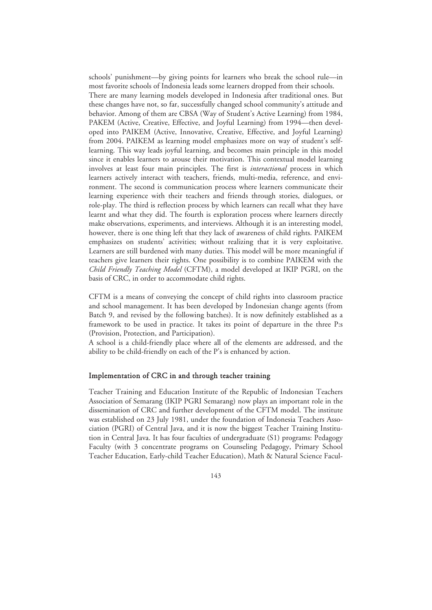schools' punishment—by giving points for learners who break the school rule—in most favorite schools of Indonesia leads some learners dropped from their schools. There are many learning models developed in Indonesia after traditional ones. But these changes have not, so far, successfully changed school community's attitude and behavior. Among of them are CBSA (Way of Student's Active Learning) from 1984, PAKEM (Active, Creative, Effective, and Joyful Learning) from 1994—then developed into PAIKEM (Active, Innovative, Creative, Effective, and Joyful Learning) from 2004. PAIKEM as learning model emphasizes more on way of student's selflearning. This way leads joyful learning, and becomes main principle in this model since it enables learners to arouse their motivation. This contextual model learning involves at least four main principles. The first is *interactional* process in which learners actively interact with teachers, friends, multi-media, reference, and environment. The second is communication process where learners communicate their learning experience with their teachers and friends through stories, dialogues, or role-play. The third is reflection process by which learners can recall what they have learnt and what they did. The fourth is exploration process where learners directly make observations, experiments, and interviews. Although it is an interesting model, however, there is one thing left that they lack of awareness of child rights. PAIKEM emphasizes on students' activities; without realizing that it is very exploitative. Learners are still burdened with many duties. This model will be more meaningful if teachers give learners their rights. One possibility is to combine PAIKEM with the *Child Friendly Teaching Model* (CFTM), a model developed at IKIP PGRI, on the basis of CRC, in order to accommodate child rights.

CFTM is a means of conveying the concept of child rights into classroom practice and school management. It has been developed by Indonesian change agents (from Batch 9, and revised by the following batches). It is now definitely established as a framework to be used in practice. It takes its point of departure in the three P:s (Provision, Protection, and Participation).

A school is a child-friendly place where all of the elements are addressed, and the ability to be child-friendly on each of the P's is enhanced by action.

#### Implementation of CRC in and through teacher training

Teacher Training and Education Institute of the Republic of Indonesian Teachers Association of Semarang (IKIP PGRI Semarang) now plays an important role in the dissemination of CRC and further development of the CFTM model. The institute was established on 23 July 1981, under the foundation of Indonesia Teachers Association (PGRI) of Central Java, and it is now the biggest Teacher Training Institution in Central Java. It has four faculties of undergraduate (S1) programs: Pedagogy Faculty (with 3 concentrate programs on Counseling Pedagogy, Primary School Teacher Education, Early-child Teacher Education), Math & Natural Science Facul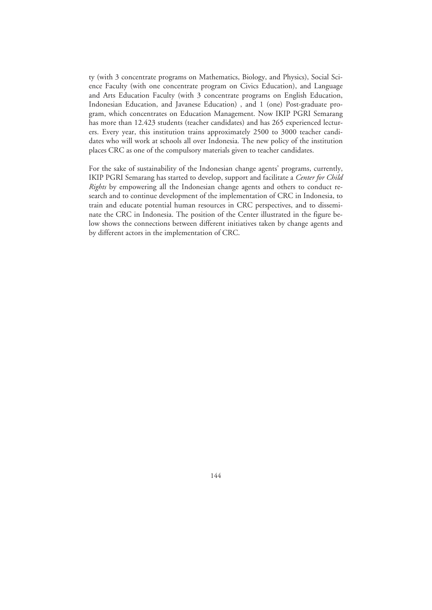ty (with 3 concentrate programs on Mathematics, Biology, and Physics), Social Science Faculty (with one concentrate program on Civics Education), and Language and Arts Education Faculty (with 3 concentrate programs on English Education, Indonesian Education, and Javanese Education) , and 1 (one) Post-graduate program, which concentrates on Education Management. Now IKIP PGRI Semarang has more than 12.423 students (teacher candidates) and has 265 experienced lecturers. Every year, this institution trains approximately 2500 to 3000 teacher candidates who will work at schools all over Indonesia. The new policy of the institution places CRC as one of the compulsory materials given to teacher candidates.

For the sake of sustainability of the Indonesian change agents' programs, currently, IKIP PGRI Semarang has started to develop, support and facilitate a *Center for Child Rights* by empowering all the Indonesian change agents and others to conduct research and to continue development of the implementation of CRC in Indonesia, to train and educate potential human resources in CRC perspectives, and to disseminate the CRC in Indonesia. The position of the Center illustrated in the figure below shows the connections between different initiatives taken by change agents and by different actors in the implementation of CRC.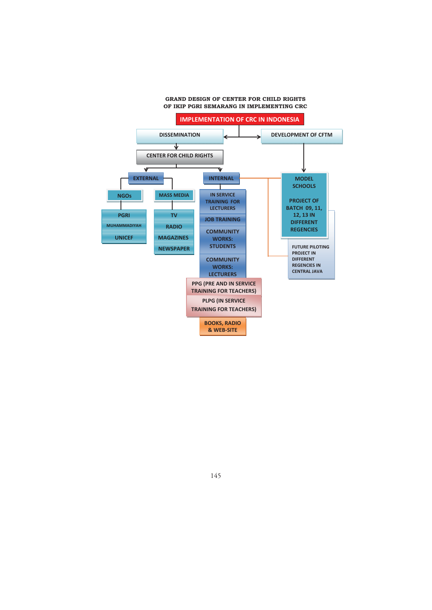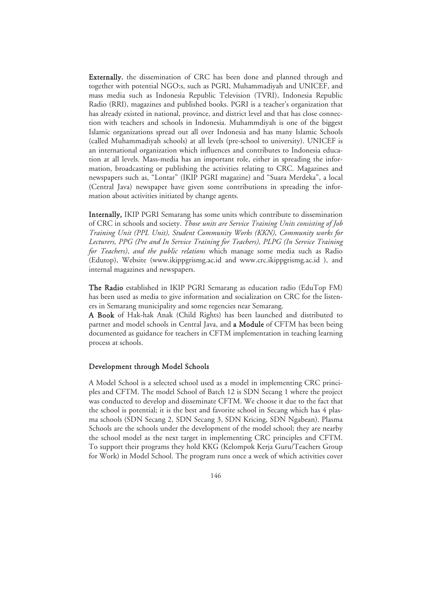Externally, the dissemination of CRC has been done and planned through and together with potential NGO:s, such as PGRI, Muhammadiyah and UNICEF, and mass media such as Indonesia Republic Television (TVRI), Indonesia Republic Radio (RRI), magazines and published books. PGRI is a teacher's organization that has already existed in national, province, and district level and that has close connection with teachers and schools in Indonesia. Muhammdiyah is one of the biggest Islamic organizations spread out all over Indonesia and has many Islamic Schools (called Muhammadiyah schools) at all levels (pre-school to university). UNICEF is an international organization which influences and contributes to Indonesia education at all levels. Mass-media has an important role, either in spreading the information, broadcasting or publishing the activities relating to CRC. Magazines and newspapers such as, "Lontar" (IKIP PGRI magazine) and "Suara Merdeka", a local (Central Java) newspaper have given some contributions in spreading the information about activities initiated by change agents.

Internally, IKIP PGRI Semarang has some units which contribute to dissemination of CRC in schools and society. *Those units are Service Training Units consisting of Job Training Unit (PPL Unit), Student Community Works (KKN), Community works for Lecturers, PPG (Pre and In Service Training for Teachers), PLPG (In Service Training for Teachers)*, *and the public relations* which manage some media such as Radio (Edutop), Website (www.ikippgrismg.ac.id and www.crc.ikippgrismg.ac.id ), and internal magazines and newspapers.

The Radio established in IKIP PGRI Semarang as education radio (EduTop FM) has been used as media to give information and socialization on CRC for the listeners in Semarang municipality and some regencies near Semarang.

A Book of Hak-hak Anak (Child Rights) has been launched and distributed to partner and model schools in Central Java, and a Module of CFTM has been being documented as guidance for teachers in CFTM implementation in teaching learning process at schools.

#### Development through Model Schools

A Model School is a selected school used as a model in implementing CRC principles and CFTM. The model School of Batch 12 is SDN Secang 1 where the project was conducted to develop and disseminate CFTM. We choose it due to the fact that the school is potential; it is the best and favorite school in Secang which has 4 plasma schools (SDN Secang 2, SDN Secang 3, SDN Kricing, SDN Ngabean). Plasma Schools are the schools under the development of the model school; they are nearby the school model as the next target in implementing CRC principles and CFTM. To support their programs they hold KKG (Kelompok Kerja Guru/Teachers Group for Work) in Model School. The program runs once a week of which activities cover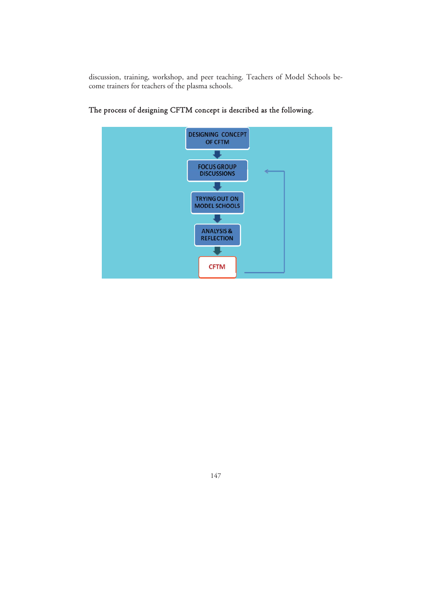discussion, training, workshop, and peer teaching. Teachers of Model Schools become trainers for teachers of the plasma schools.



## The process of designing CFTM concept is described as the following.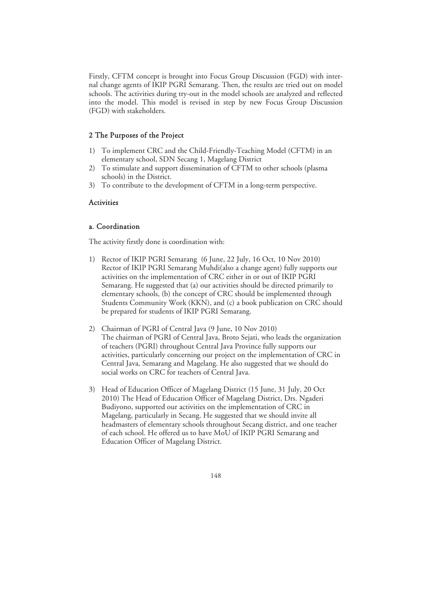Firstly, CFTM concept is brought into Focus Group Discussion (FGD) with internal change agents of IKIP PGRI Semarang. Then, the results are tried out on model schools. The activities during try-out in the model schools are analyzed and reflected into the model. This model is revised in step by new Focus Group Discussion (FGD) with stakeholders.

#### 2 The Purposes of the Project

- 1) To implement CRC and the Child-Friendly-Teaching Model (CFTM) in an elementary school, SDN Secang 1, Magelang District
- 2) To stimulate and support dissemination of CFTM to other schools (plasma schools) in the District.
- 3) To contribute to the development of CFTM in a long-term perspective.

#### **Activities**

### a. Coordination

The activity firstly done is coordination with:

- 1) Rector of IKIP PGRI Semarang (6 June, 22 July, 16 Oct, 10 Nov 2010) Rector of IKIP PGRI Semarang Muhdi(also a change agent) fully supports our activities on the implementation of CRC either in or out of IKIP PGRI Semarang. He suggested that (a) our activities should be directed primarily to elementary schools, (b) the concept of CRC should be implemented through Students Community Work (KKN), and (c) a book publication on CRC should be prepared for students of IKIP PGRI Semarang.
- 2) Chairman of PGRI of Central Java (9 June, 10 Nov 2010) The chairman of PGRI of Central Java, Broto Sejati, who leads the organization of teachers (PGRI) throughout Central Java Province fully supports our activities, particularly concerning our project on the implementation of CRC in Central Java, Semarang and Magelang. He also suggested that we should do social works on CRC for teachers of Central Java.
- 3) Head of Education Officer of Magelang District (15 June, 31 July, 20 Oct 2010) The Head of Education Officer of Magelang District, Drs. Ngaderi Budiyono, supported our activities on the implementation of CRC in Magelang, particularly in Secang. He suggested that we should invite all headmasters of elementary schools throughout Secang district, and one teacher of each school. He offered us to have MoU of IKIP PGRI Semarang and Education Officer of Magelang District.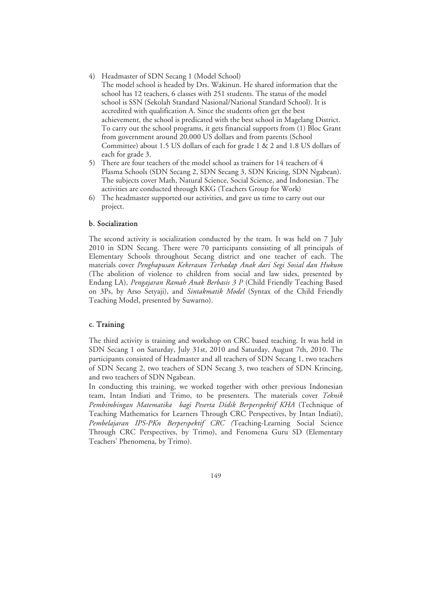- 4) Headmaster of SDN Secang 1 (Model School)
- The model school is headed by Drs. Wakinun. He shared information that the school has 12 teachers, 6 classes with 251 students. The status of the model school is SSN (Sekolah Standard Nasional/National Standard School). It is accredited with qualification A. Since the students often get the best achievement, the school is predicated with the best school in Magelang District. To carry out the school programs, it gets financial supports from (1) Bloc Grant from government around 20.000 US dollars and from parents (School Committee) about 1.5 US dollars of each for grade 1 & 2 and 1.8 US dollars of each for grade 3.
- 5) There are four teachers of the model school as trainers for 14 teachers of 4 Plasma Schools (SDN Secang 2, SDN Secang 3, SDN Kricing, SDN Ngabean). The subjects cover Math, Natural Science, Social Science, and Indonesian. The activities are conducted through KKG (Teachers Group for Work)
- 6) The headmaster supported our activities, and gave us time to carry out our project.

### b. Socialization

The second activity is socialization conducted by the team. It was held on 7 July 2010 in SDN Secang. There were 70 participants consisting of all principals of Elementary Schools throughout Secang district and one teacher of each. The materials cover *Penghapusan Kekerasan Terhadap Anak dari Segi Sosial dan Hukum* (The abolition of violence to children from social and law sides, presented by Endang LA), *Pengajaran Ramah Anak Berbasis 3 P* (Child Friendly Teaching Based on 3Ps, by Arso Setyaji), and *Sintakmatik Model* (Syntax of the Child Friendly Teaching Model, presented by Suwarno).

### c. Training

The third activity is training and workshop on CRC based teaching. It was held in SDN Secang 1 on Saturday, July 31st, 2010 and Saturday, August 7th, 2010. The participants consisted of Headmaster and all teachers of SDN Secang 1, two teachers of SDN Secang 2, two teachers of SDN Secang 3, two teachers of SDN Krincing, and two teachers of SDN Ngabean.

In conducting this training, we worked together with other previous Indonesian team, Intan Indiati and Trimo, to be presenters. The materials cover *Teknik Pembimbingan Matematika bagi Peserta Didik Berperspektif KHA* (Technique of Teaching Mathematics for Learners Through CRC Perspectives, by Intan Indiati), *Pembelajaran IPS-PKn Berperspektif CRC (*Teaching-Learning Social Science Through CRC Perspectives, by Trimo), and Fenomena Guru SD (Elementary Teachers' Phenomena, by Trimo).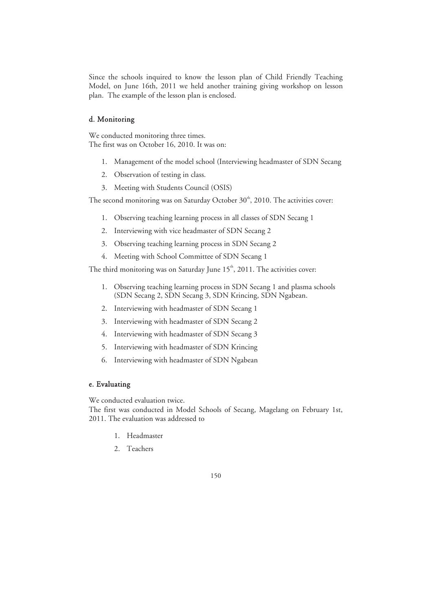Since the schools inquired to know the lesson plan of Child Friendly Teaching Model, on June 16th, 2011 we held another training giving workshop on lesson plan. The example of the lesson plan is enclosed.

### d. Monitoring

We conducted monitoring three times. The first was on October 16, 2010. It was on:

- 1. Management of the model school (Interviewing headmaster of SDN Secang
- 2. Observation of testing in class.
- 3. Meeting with Students Council (OSIS)

The second monitoring was on Saturday October  $30<sup>th</sup>$ , 2010. The activities cover:

- 1. Observing teaching learning process in all classes of SDN Secang 1
- 2. Interviewing with vice headmaster of SDN Secang 2
- 3. Observing teaching learning process in SDN Secang 2
- 4. Meeting with School Committee of SDN Secang 1

The third monitoring was on Saturday June  $15<sup>th</sup>$ , 2011. The activities cover:

- 1. Observing teaching learning process in SDN Secang 1 and plasma schools (SDN Secang 2, SDN Secang 3, SDN Krincing, SDN Ngabean.
- 2. Interviewing with headmaster of SDN Secang 1
- 3. Interviewing with headmaster of SDN Secang 2
- 4. Interviewing with headmaster of SDN Secang 3
- 5. Interviewing with headmaster of SDN Krincing
- 6. Interviewing with headmaster of SDN Ngabean

### e. Evaluating

We conducted evaluation twice.

The first was conducted in Model Schools of Secang, Magelang on February 1st, 2011. The evaluation was addressed to

- 1. Headmaster
- 2. Teachers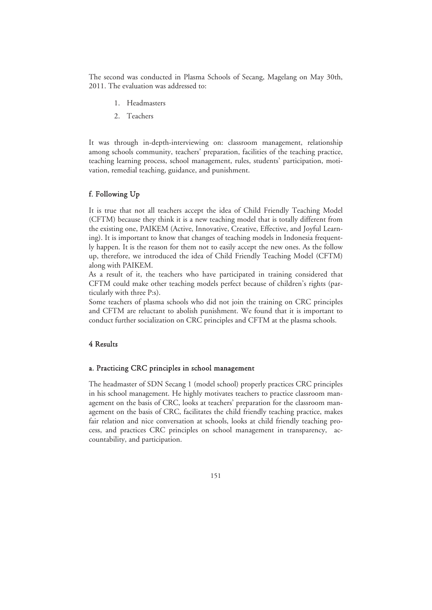The second was conducted in Plasma Schools of Secang, Magelang on May 30th, 2011. The evaluation was addressed to:

- 1. Headmasters
- 2. Teachers

It was through in-depth-interviewing on: classroom management, relationship among schools community, teachers' preparation, facilities of the teaching practice, teaching learning process, school management, rules, students' participation, motivation, remedial teaching, guidance, and punishment.

### f. Following Up

It is true that not all teachers accept the idea of Child Friendly Teaching Model (CFTM) because they think it is a new teaching model that is totally different from the existing one, PAIKEM (Active, Innovative, Creative, Effective, and Joyful Learning). It is important to know that changes of teaching models in Indonesia frequently happen. It is the reason for them not to easily accept the new ones. As the follow up, therefore, we introduced the idea of Child Friendly Teaching Model (CFTM) along with PAIKEM.

As a result of it, the teachers who have participated in training considered that CFTM could make other teaching models perfect because of children's rights (particularly with three P:s).

Some teachers of plasma schools who did not join the training on CRC principles and CFTM are reluctant to abolish punishment. We found that it is important to conduct further socialization on CRC principles and CFTM at the plasma schools.

### 4 Results

### a. Practicing CRC principles in school management

The headmaster of SDN Secang 1 (model school) properly practices CRC principles in his school management. He highly motivates teachers to practice classroom management on the basis of CRC, looks at teachers' preparation for the classroom management on the basis of CRC, facilitates the child friendly teaching practice, makes fair relation and nice conversation at schools, looks at child friendly teaching process, and practices CRC principles on school management in transparency, accountability, and participation.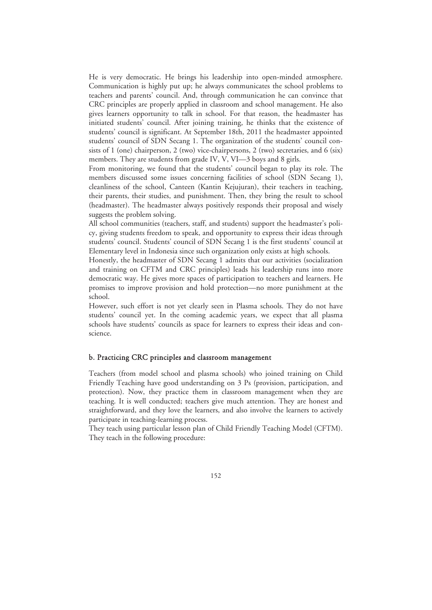He is very democratic. He brings his leadership into open-minded atmosphere. Communication is highly put up; he always communicates the school problems to teachers and parents' council. And, through communication he can convince that CRC principles are properly applied in classroom and school management. He also gives learners opportunity to talk in school. For that reason, the headmaster has initiated students' council. After joining training, he thinks that the existence of students' council is significant. At September 18th, 2011 the headmaster appointed students' council of SDN Secang 1. The organization of the students' council consists of 1 (one) chairperson, 2 (two) vice-chairpersons, 2 (two) secretaries, and 6 (six) members. They are students from grade IV, V, VI-3 boys and 8 girls.

From monitoring, we found that the students' council began to play its role. The members discussed some issues concerning facilities of school (SDN Secang 1), cleanliness of the school, Canteen (Kantin Kejujuran), their teachers in teaching, their parents, their studies, and punishment. Then, they bring the result to school (headmaster). The headmaster always positively responds their proposal and wisely suggests the problem solving.

All school communities (teachers, staff, and students) support the headmaster's policy, giving students freedom to speak, and opportunity to express their ideas through students' council. Students' council of SDN Secang 1 is the first students' council at Elementary level in Indonesia since such organization only exists at high schools.

Honestly, the headmaster of SDN Secang 1 admits that our activities (socialization and training on CFTM and CRC principles) leads his leadership runs into more democratic way. He gives more spaces of participation to teachers and learners. He promises to improve provision and hold protection—no more punishment at the school.

However, such effort is not yet clearly seen in Plasma schools. They do not have students' council yet. In the coming academic years, we expect that all plasma schools have students' councils as space for learners to express their ideas and conscience.

#### b. Practicing CRC principles and classroom management

Teachers (from model school and plasma schools) who joined training on Child Friendly Teaching have good understanding on 3 Ps (provision, participation, and protection). Now, they practice them in classroom management when they are teaching. It is well conducted; teachers give much attention. They are honest and straightforward, and they love the learners, and also involve the learners to actively participate in teaching-learning process.

They teach using particular lesson plan of Child Friendly Teaching Model (CFTM). They teach in the following procedure: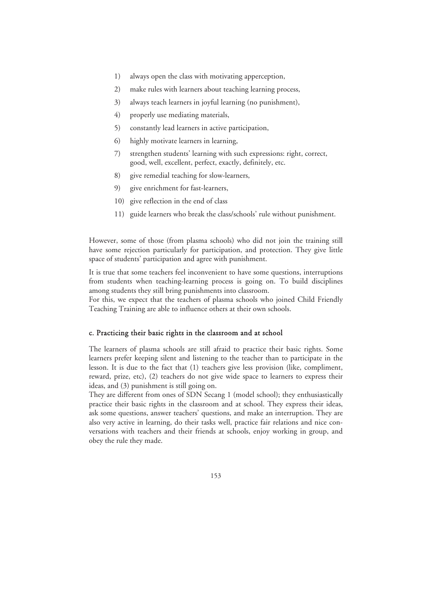- 1) always open the class with motivating apperception,
- 2) make rules with learners about teaching learning process,
- 3) always teach learners in joyful learning (no punishment),
- 4) properly use mediating materials,
- 5) constantly lead learners in active participation,
- 6) highly motivate learners in learning,
- 7) strengthen students' learning with such expressions: right, correct, good, well, excellent, perfect, exactly, definitely, etc.
- 8) give remedial teaching for slow-learners,
- 9) give enrichment for fast-learners,
- 10) give reflection in the end of class
- 11) guide learners who break the class/schools' rule without punishment.

However, some of those (from plasma schools) who did not join the training still have some rejection particularly for participation, and protection. They give little space of students' participation and agree with punishment.

It is true that some teachers feel inconvenient to have some questions, interruptions from students when teaching-learning process is going on. To build disciplines among students they still bring punishments into classroom.

For this, we expect that the teachers of plasma schools who joined Child Friendly Teaching Training are able to influence others at their own schools.

#### c. Practicing their basic rights in the classroom and at school

The learners of plasma schools are still afraid to practice their basic rights. Some learners prefer keeping silent and listening to the teacher than to participate in the lesson. It is due to the fact that (1) teachers give less provision (like, compliment, reward, prize, etc), (2) teachers do not give wide space to learners to express their ideas, and (3) punishment is still going on.

They are different from ones of SDN Secang 1 (model school); they enthusiastically practice their basic rights in the classroom and at school. They express their ideas, ask some questions, answer teachers' questions, and make an interruption. They are also very active in learning, do their tasks well, practice fair relations and nice conversations with teachers and their friends at schools, enjoy working in group, and obey the rule they made.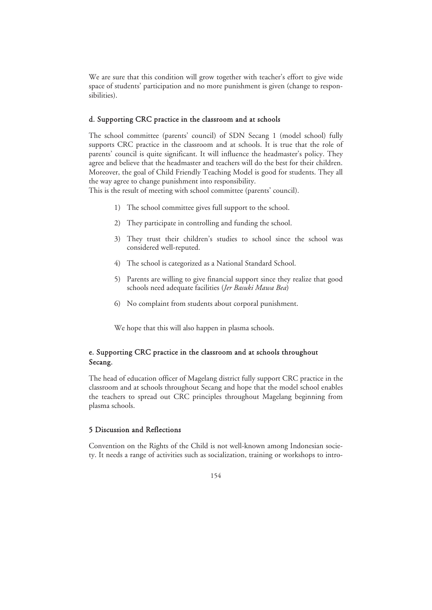We are sure that this condition will grow together with teacher's effort to give wide space of students' participation and no more punishment is given (change to responsibilities).

#### d. Supporting CRC practice in the classroom and at schools

The school committee (parents' council) of SDN Secang 1 (model school) fully supports CRC practice in the classroom and at schools. It is true that the role of parents' council is quite significant. It will influence the headmaster's policy. They agree and believe that the headmaster and teachers will do the best for their children. Moreover, the goal of Child Friendly Teaching Model is good for students. They all the way agree to change punishment into responsibility.

This is the result of meeting with school committee (parents' council).

- 1) The school committee gives full support to the school.
- 2) They participate in controlling and funding the school.
- 3) They trust their children's studies to school since the school was considered well-reputed.
- 4) The school is categorized as a National Standard School.
- 5) Parents are willing to give financial support since they realize that good schools need adequate facilities (*Jer Basuki Mawa Bea*)
- 6) No complaint from students about corporal punishment.

We hope that this will also happen in plasma schools.

### e. Supporting CRC practice in the classroom and at schools throughout Secang.

The head of education officer of Magelang district fully support CRC practice in the classroom and at schools throughout Secang and hope that the model school enables the teachers to spread out CRC principles throughout Magelang beginning from plasma schools.

### 5 Discussion and Reflections

Convention on the Rights of the Child is not well-known among Indonesian society. It needs a range of activities such as socialization, training or workshops to intro-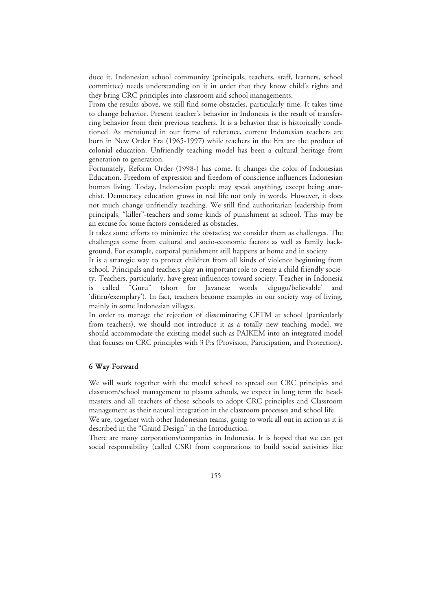duce it. Indonesian school community (principals, teachers, staff, learners, school committee) needs understanding on it in order that they know child's rights and they bring CRC principles into classroom and school managements.

From the results above, we still find some obstacles, particularly time. It takes time to change behavior. Present teacher's behavior in Indonesia is the result of transferring behavior from their previous teachers. It is a behavior that is historically conditioned. As mentioned in our frame of reference, current Indonesian teachers are born in New Order Era (1965-1997) while teachers in the Era are the product of colonial education. Unfriendly teaching model has been a cultural heritage from generation to generation.

Fortunately, Reform Order (1998-) has come. It changes the color of Indonesian Education. Freedom of expression and freedom of conscience influences Indonesian human living. Today, Indonesian people may speak anything, except being anarchist. Democracy education grows in real life not only in words. However, it does not much change unfriendly teaching. We still find authoritarian leadership from principals, "killer"-teachers and some kinds of punishment at school. This may be an excuse for some factors considered as obstacles.

It takes some efforts to minimize the obstacles; we consider them as challenges. The challenges come from cultural and socio-economic factors as well as family background. For example, corporal punishment still happens at home and in society.

It is a strategic way to protect children from all kinds of violence beginning from school. Principals and teachers play an important role to create a child friendly society. Teachers, particularly, have great influences toward society. Teacher in Indonesia is called "Guru" (short for Javanese words 'digugu/believable' and 'ditiru/exemplary'). In fact, teachers become examples in our society way of living, mainly in some Indonesian villages.

In order to manage the rejection of disseminating CFTM at school (particularly from teachers), we should not introduce it as a totally new teaching model; we should accommodate the existing model such as PAIKEM into an integrated model that focuses on CRC principles with 3 P:s (Provision, Participation, and Protection).

#### 6 Way Forward

We will work together with the model school to spread out CRC principles and classroom/school management to plasma schools, we expect in long term the headmasters and all teachers of those schools to adopt CRC principles and Classroom management as their natural integration in the classroom processes and school life.

We are, together with other Indonesian teams, going to work all out in action as it is described in the "Grand Design" in the Introduction.

There are many corporations/companies in Indonesia. It is hoped that we can get social responsibility (called CSR) from corporations to build social activities like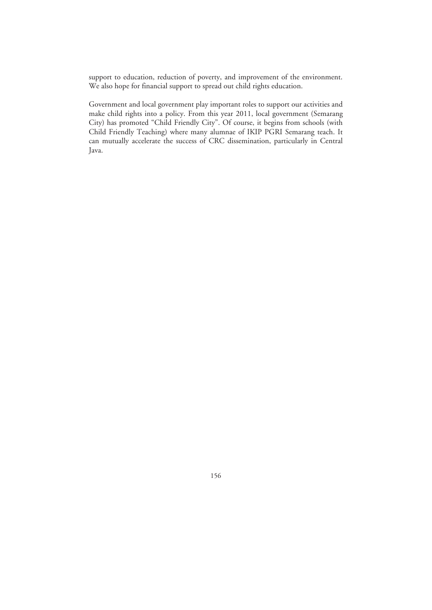support to education, reduction of poverty, and improvement of the environment. We also hope for financial support to spread out child rights education.

Government and local government play important roles to support our activities and make child rights into a policy. From this year 2011, local government (Semarang City) has promoted "Child Friendly City". Of course, it begins from schools (with Child Friendly Teaching) where many alumnae of IKIP PGRI Semarang teach. It can mutually accelerate the success of CRC dissemination, particularly in Central Java.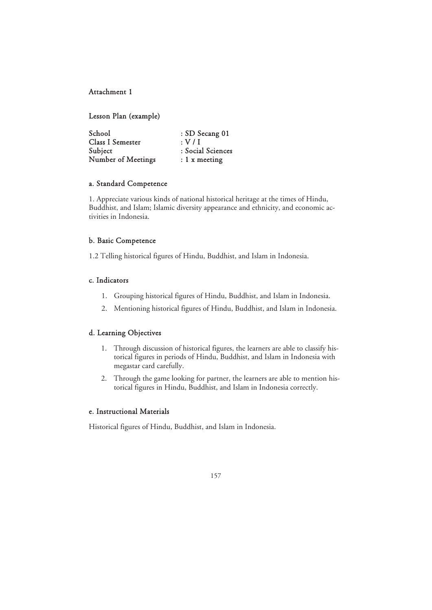### Attachment 1

Lesson Plan (example)

| School             | : SD Secang 01    |
|--------------------|-------------------|
| Class I Semester   | : V / I           |
| Subject            | : Social Sciences |
| Number of Meetings | $: 1 x$ meeting   |

### a. Standard Competence

1. Appreciate various kinds of national historical heritage at the times of Hindu, Buddhist, and Islam; Islamic diversity appearance and ethnicity, and economic activities in Indonesia.

### b. Basic Competence

1.2 Telling historical figures of Hindu, Buddhist, and Islam in Indonesia.

### c. Indicators

- 1. Grouping historical figures of Hindu, Buddhist, and Islam in Indonesia.
- 2. Mentioning historical figures of Hindu, Buddhist, and Islam in Indonesia.

### d. Learning Objectives

- 1. Through discussion of historical figures, the learners are able to classify historical figures in periods of Hindu, Buddhist, and Islam in Indonesia with megastar card carefully.
- 2. Through the game looking for partner, the learners are able to mention historical figures in Hindu, Buddhist, and Islam in Indonesia correctly.

### e. Instructional Materials

Historical figures of Hindu, Buddhist, and Islam in Indonesia.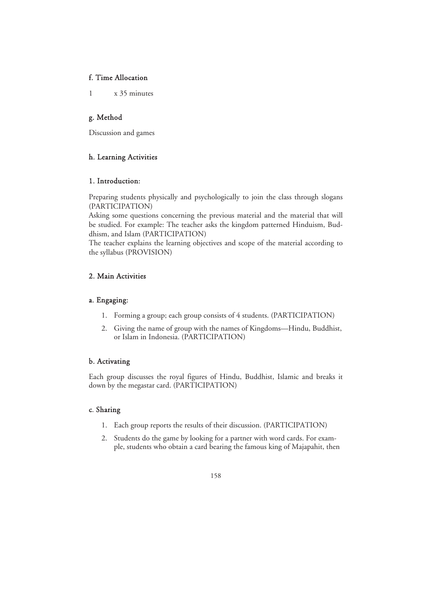### f. Time Allocation

1 x 35 minutes

### g. Method

Discussion and games

### h. Learning Activities

### 1. Introduction:

Preparing students physically and psychologically to join the class through slogans (PARTICIPATION)

Asking some questions concerning the previous material and the material that will be studied. For example: The teacher asks the kingdom patterned Hinduism, Buddhism, and Islam (PARTICIPATION)

The teacher explains the learning objectives and scope of the material according to the syllabus (PROVISION)

### 2. Main Activities

### a. Engaging:

- 1. Forming a group; each group consists of 4 students. (PARTICIPATION)
- 2. Giving the name of group with the names of Kingdoms—Hindu, Buddhist, or Islam in Indonesia. (PARTICIPATION)

### b. Activating

Each group discusses the royal figures of Hindu, Buddhist, Islamic and breaks it down by the megastar card. (PARTICIPATION)

### c. Sharing

- 1. Each group reports the results of their discussion. (PARTICIPATION)
- 2. Students do the game by looking for a partner with word cards. For example, students who obtain a card bearing the famous king of Majapahit, then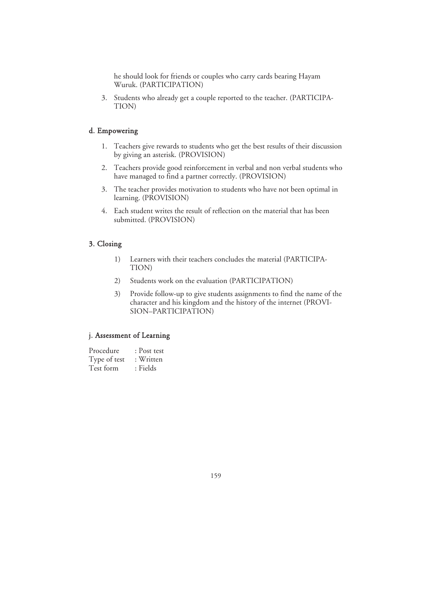he should look for friends or couples who carry cards bearing Hayam Wuruk. (PARTICIPATION)

3. Students who already get a couple reported to the teacher. (PARTICIPA-TION)

### d. Empowering

- 1. Teachers give rewards to students who get the best results of their discussion by giving an asterisk. (PROVISION)
- 2. Teachers provide good reinforcement in verbal and non verbal students who have managed to find a partner correctly. (PROVISION)
- 3. The teacher provides motivation to students who have not been optimal in learning. (PROVISION)
- 4. Each student writes the result of reflection on the material that has been submitted. (PROVISION)

### 3. Closing

- 1) Learners with their teachers concludes the material (PARTICIPA-TION)
- 2) Students work on the evaluation (PARTICIPATION)
- 3) Provide follow-up to give students assignments to find the name of the character and his kingdom and the history of the internet (PROVI-SION–PARTICIPATION)

### j. Assessment of Learning

| Procedure    | : Post test |
|--------------|-------------|
| Type of test | : Written   |
| Test form    | : Fields    |